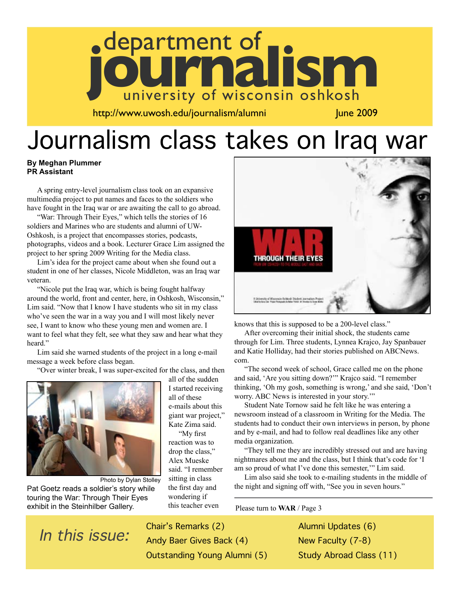

http://www.uwosh.edu/journalism/alumni June 2009

# Journalism class takes on Iraq war

#### **By Meghan Plummer PR Assistant**

A spring entry-level journalism class took on an expansive multimedia project to put names and faces to the soldiers who have fought in the Iraq war or are awaiting the call to go abroad.

"War: Through Their Eyes," which tells the stories of 16 soldiers and Marines who are students and alumni of UW-Oshkosh, is a project that encompasses stories, podcasts, photographs, videos and a book. Lecturer Grace Lim assigned the project to her spring 2009 Writing for the Media class.

Lim's idea for the project came about when she found out a student in one of her classes, Nicole Middleton, was an Iraq war veteran.

"Nicole put the Iraq war, which is being fought halfway around the world, front and center, here, in Oshkosh, Wisconsin," Lim said. "Now that I know I have students who sit in my class who've seen the war in a way you and I will most likely never see, I want to know who these young men and women are. I want to feel what they felt, see what they saw and hear what they heard."

Lim said she warned students of the project in a long e-mail message a week before class began.

"Over winter break, I was super-excited for the class, and then



Photo by Dylan Stolley Pat Goetz reads a soldier's story while touring the War: Through Their Eyes exhibit in the Steinhilber Gallery.

all of the sudden I started receiving all of these e-mails about this giant war project," Kate Zima said. "My first reaction was to drop the class," Alex Mueske said. "I remember sitting in class the first day and wondering if this teacher even



knows that this is supposed to be a 200-level class."

After overcoming their initial shock, the students came through for Lim. Three students, Lynnea Krajco, Jay Spanbauer and Katie Holliday, had their stories published on ABCNews. com.

"The second week of school, Grace called me on the phone and said, 'Are you sitting down?'" Krajco said. "I remember thinking, 'Oh my gosh, something is wrong,' and she said, 'Don't worry. ABC News is interested in your story.'"

Student Nate Tornow said he felt like he was entering a newsroom instead of a classroom in Writing for the Media. The students had to conduct their own interviews in person, by phone and by e-mail, and had to follow real deadlines like any other media organization.

"They tell me they are incredibly stressed out and are having nightmares about me and the class, but I think that's code for 'I am so proud of what I've done this semester,'" Lim said.

Lim also said she took to e-mailing students in the middle of the night and signing off with, "See you in seven hours."

Please turn to **WAR** / Page 3

Chair's Remarks (2)<br>In this issue: Andy Baer Gives Bae Andy Baer Gives Back (4) Outstanding Young Alumni (5) Alumni Updates (6) New Faculty (7-8) Study Abroad Class (11)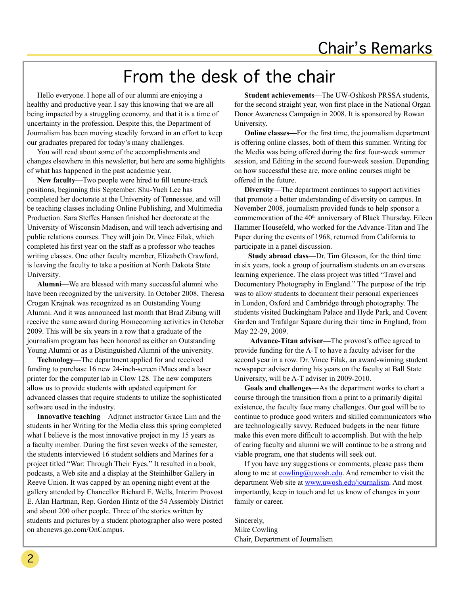# From the desk of the chair

Hello everyone. I hope all of our alumni are enjoying a healthy and productive year. I say this knowing that we are all being impacted by a struggling economy, and that it is a time of uncertainty in the profession. Despite this, the Department of Journalism has been moving steadily forward in an effort to keep our graduates prepared for today's many challenges.

You will read about some of the accomplishments and changes elsewhere in this newsletter, but here are some highlights of what has happened in the past academic year.

**New faculty**—Two people were hired to fill tenure-track positions, beginning this September. Shu-Yueh Lee has completed her doctorate at the University of Tennessee, and will be teaching classes including Online Publishing, and Multimedia Production. Sara Steffes Hansen finished her doctorate at the University of Wisconsin Madison, and will teach advertising and public relations courses. They will join Dr. Vince Filak, which completed his first year on the staff as a professor who teaches writing classes. One other faculty member, Elizabeth Crawford, is leaving the faculty to take a position at North Dakota State University.

**Alumni**—We are blessed with many successful alumni who have been recognized by the university. In October 2008, Theresa Crogan Krajnak was recognized as an Outstanding Young Alumni. And it was announced last month that Brad Zibung will receive the same award during Homecoming activities in October 2009. This will be six years in a row that a graduate of the journalism program has been honored as either an Outstanding Young Alumni or as a Distinguished Alumni of the university.

**Technology**—The department applied for and received funding to purchase 16 new 24-inch-screen iMacs and a laser printer for the computer lab in Clow 128. The new computers allow us to provide students with updated equipment for advanced classes that require students to utilize the sophisticated software used in the industry.

**Innovative teaching**—Adjunct instructor Grace Lim and the students in her Writing for the Media class this spring completed what I believe is the most innovative project in my 15 years as a faculty member. During the first seven weeks of the semester, the students interviewed 16 student soldiers and Marines for a project titled "War: Through Their Eyes." It resulted in a book, podcasts, a Web site and a display at the Steinhilber Gallery in Reeve Union. It was capped by an opening night event at the gallery attended by Chancellor Richard E. Wells, Interim Provost E. Alan Hartman, Rep. Gordon Hintz of the 54 Assembly District and about 200 other people. Three of the stories written by students and pictures by a student photographer also were posted on abcnews.go.com/OnCampus.

**Student achievements**—The UW-Oshkosh PRSSA students, for the second straight year, won first place in the National Organ Donor Awareness Campaign in 2008. It is sponsored by Rowan University.

**Online classes—**For the first time, the journalism department is offering online classes, both of them this summer. Writing for the Media was being offered during the first four-week summer session, and Editing in the second four-week session. Depending on how successful these are, more online courses might be offered in the future.

**Diversity**—The department continues to support activities that promote a better understanding of diversity on campus. In November 2008, journalism provided funds to help sponsor a commemoration of the 40<sup>th</sup> anniversary of Black Thursday. Eileen Hammer Housefeld, who worked for the Advance-Titan and The Paper during the events of 1968, returned from California to participate in a panel discussion.

 **Study abroad class**—Dr. Tim Gleason, for the third time in six years, took a group of journalism students on an overseas learning experience. The class project was titled "Travel and Documentary Photography in England." The purpose of the trip was to allow students to document their personal experiences in London, Oxford and Cambridge through photography. The students visited Buckingham Palace and Hyde Park, and Covent Garden and Trafalgar Square during their time in England, from May 22-29, 2009.

 **Advance-Titan adviser—**The provost's office agreed to provide funding for the A-T to have a faculty adviser for the second year in a row. Dr. Vince Filak, an award-winning student newspaper adviser during his years on the faculty at Ball State University, will be A-T adviser in 2009-2010.

**Goals and challenges**—As the department works to chart a course through the transition from a print to a primarily digital existence, the faculty face many challenges. Our goal will be to continue to produce good writers and skilled communicators who are technologically savvy. Reduced budgets in the near future make this even more difficult to accomplish. But with the help of caring faculty and alumni we will continue to be a strong and viable program, one that students will seek out.

If you have any suggestions or comments, please pass them along to me at  $\frac{\text{cowling@uwosh.edu}}{\text{cawling@uwosh.edu}}$ . And remember to visit the department Web site at www.uwosh.edu/journalism. And most importantly, keep in touch and let us know of changes in your family or career.

Sincerely, Mike Cowling Chair, Department of Journalism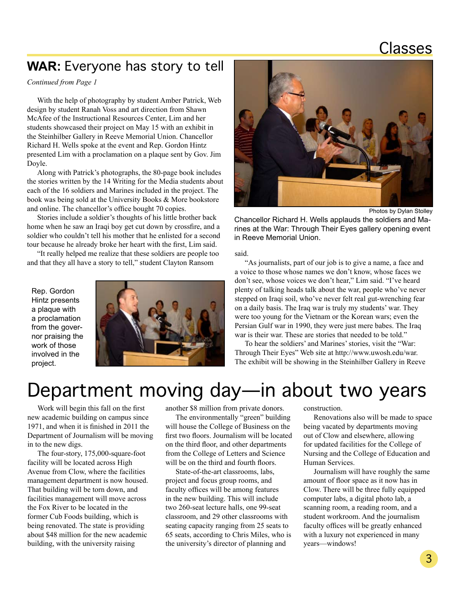## Classes

## **WAR:** Everyone has story to tell

*Continued from Page 1*

With the help of photography by student Amber Patrick, Web design by student Ranah Voss and art direction from Shawn McAfee of the Instructional Resources Center, Lim and her students showcased their project on May 15 with an exhibit in the Steinhilber Gallery in Reeve Memorial Union. Chancellor Richard H. Wells spoke at the event and Rep. Gordon Hintz presented Lim with a proclamation on a plaque sent by Gov. Jim Doyle.

Along with Patrick's photographs, the 80-page book includes the stories written by the 14 Writing for the Media students about each of the 16 soldiers and Marines included in the project. The book was being sold at the University Books & More bookstore and online. The chancellor's office bought 70 copies.

Stories include a soldier's thoughts of his little brother back home when he saw an Iraqi boy get cut down by crossfire, and a soldier who couldn't tell his mother that he enlisted for a second tour because he already broke her heart with the first, Lim said.

"It really helped me realize that these soldiers are people too and that they all have a story to tell," student Clayton Ransom

Rep. Gordon Hintz presents a plaque with a proclamation from the governor praising the work of those involved in the project.





Photos by Dylan Stolley

Chancellor Richard H. Wells applauds the soldiers and Marines at the War: Through Their Eyes gallery opening event in Reeve Memorial Union.

said.

"As journalists, part of our job is to give a name, a face and a voice to those whose names we don't know, whose faces we don't see, whose voices we don't hear," Lim said. "I've heard plenty of talking heads talk about the war, people who've never stepped on Iraqi soil, who've never felt real gut-wrenching fear on a daily basis. The Iraq war is truly my students' war. They were too young for the Vietnam or the Korean wars; even the Persian Gulf war in 1990, they were just mere babes. The Iraq war is their war. These are stories that needed to be told."

To hear the soldiers' and Marines' stories, visit the "War: Through Their Eyes" Web site at http://www.uwosh.edu/war. The exhibit will be showing in the Steinhilber Gallery in Reeve

# Department moving day—in about two years

Work will begin this fall on the first new academic building on campus since 1971, and when it is finished in 2011 the Department of Journalism will be moving in to the new digs.

The four-story, 175,000-square-foot facility will be located across High Avenue from Clow, where the facilities management department is now housed. That building will be torn down, and facilities management will move across the Fox River to be located in the former Cub Foods building, which is being renovated. The state is providing about \$48 million for the new academic building, with the university raising

another \$8 million from private donors.

The environmentally "green" building will house the College of Business on the first two floors. Journalism will be located on the third floor, and other departments from the College of Letters and Science will be on the third and fourth floors.

State-of-the-art classrooms, labs, project and focus group rooms, and faculty offices will be among features in the new building. This will include two 260-seat lecture halls, one 99-seat classroom, and 29 other classrooms with seating capacity ranging from 25 seats to 65 seats, according to Chris Miles, who is the university's director of planning and

construction.

Renovations also will be made to space being vacated by departments moving out of Clow and elsewhere, allowing for updated facilities for the College of Nursing and the College of Education and Human Services.

Journalism will have roughly the same amount of floor space as it now has in Clow. There will be three fully equipped computer labs, a digital photo lab, a scanning room, a reading room, and a student workroom. And the journalism faculty offices will be greatly enhanced with a luxury not experienced in many years—windows!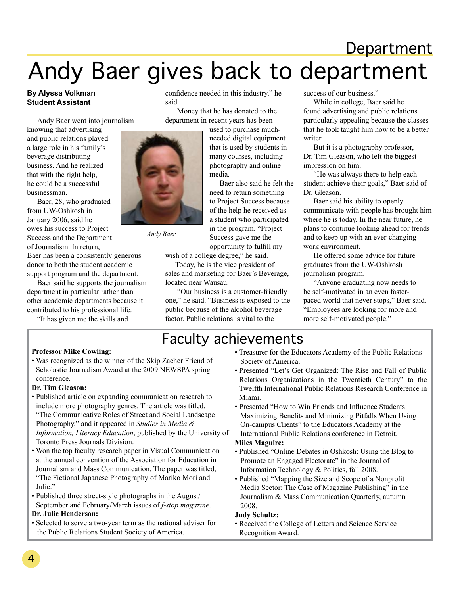# **Department** Andy Baer gives back to department

confidence needed in this industry," he

 Money that he has donated to the department in recent years has been

> used to purchase muchneeded digital equipment that is used by students in many courses, including photography and online

Baer also said he felt the need to return something to Project Success because of the help he received as a student who participated in the program. "Project Success gave me the

#### **By Alyssa Volkman Student Assistant**

Andy Baer went into journalism

knowing that advertising and public relations played a large role in his family's beverage distributing business. And he realized that with the right help, he could be a successful businessman.

Baer, 28, who graduated from UW-Oshkosh in January 2006, said he owes his success to Project Success and the Department of Journalism. In return,

Baer has been a consistently generous donor to both the student academic support program and the department.

Baer said he supports the journalism department in particular rather than other academic departments because it contributed to his professional life.

"It has given me the skills and



said.

*Andy Baer*

opportunity to fulfill my

media.

wish of a college degree," he said.

Today, he is the vice president of sales and marketing for Baer's Beverage, located near Wausau.

 "Our business is a customer-friendly one," he said. "Business is exposed to the public because of the alcohol beverage factor. Public relations is vital to the

success of our business."

While in college, Baer said he found advertising and public relations particularly appealing because the classes that he took taught him how to be a better writer.

But it is a photography professor, Dr. Tim Gleason, who left the biggest impression on him.

"He was always there to help each student achieve their goals," Baer said of Dr. Gleason.

Baer said his ability to openly communicate with people has brought him where he is today. In the near future, he plans to continue looking ahead for trends and to keep up with an ever-changing work environment.

He offered some advice for future graduates from the UW-Oshkosh journalism program.

"Anyone graduating now needs to be self-motivated in an even fasterpaced world that never stops," Baer said. "Employees are looking for more and more self-motivated people."

## Faculty achievements

#### **Professor Mike Cowling:**

• Was recognized as the winner of the Skip Zacher Friend of Scholastic Journalism Award at the 2009 NEWSPA spring conference.

#### **Dr. Tim Gleason:**

- Published article on expanding communication research to include more photography genres. The article was titled, "The Communicative Roles of Street and Social Landscape Photography," and it appeared in *Studies in Media & Information, Literacy Education*, published by the University of Toronto Press Journals Division.
- Won the top faculty research paper in Visual Communication at the annual convention of the Association for Education in Journalism and Mass Communication. The paper was titled, "The Fictional Japanese Photography of Mariko Mori and Julie."
- Published three street-style photographs in the August/ September and February/March issues of *f-stop magazine*. **Dr. Julie Henderson:**
- Selected to serve a two-year term as the national adviser for the Public Relations Student Society of America.
- Treasurer for the Educators Academy of the Public Relations Society of America.
- Presented "Let's Get Organized: The Rise and Fall of Public Relations Organizations in the Twentieth Century" to the Twelfth International Public Relations Research Conference in Miami.
- Presented "How to Win Friends and Influence Students: Maximizing Benefits and Minimizing Pitfalls When Using On-campus Clients" to the Educators Academy at the International Public Relations conference in Detroit.

#### **Miles Maguire:**

- Published "Online Debates in Oshkosh: Using the Blog to Promote an Engaged Electorate" in the Journal of Information Technology & Politics, fall 2008.
- Published "Mapping the Size and Scope of a Nonprofit Media Sector: The Case of Magazine Publishing" in the Journalism & Mass Communication Quarterly, autumn 2008.

#### **Judy Schultz:**

• Received the College of Letters and Science Service Recognition Award.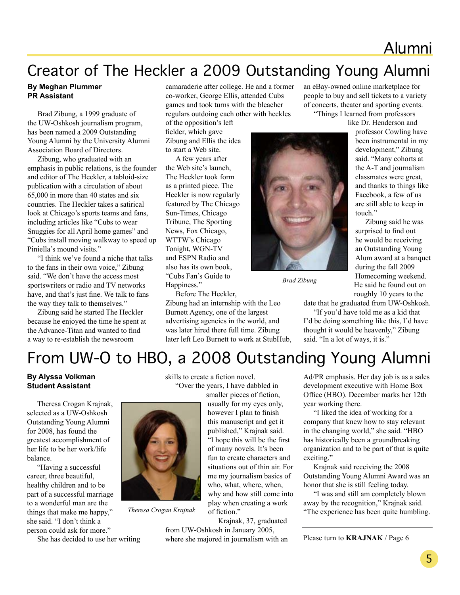## Alumni

## Creator of The Heckler a 2009 Outstanding Young Alumni

#### **By Meghan Plummer PR Assistant**

Brad Zibung, a 1999 graduate of the UW-Oshkosh journalism program, has been named a 2009 Outstanding Young Alumni by the University Alumni Association Board of Directors.

Zibung, who graduated with an emphasis in public relations, is the founder and editor of The Heckler, a tabloid-size publication with a circulation of about 65,000 in more than 40 states and six countries. The Heckler takes a satirical look at Chicago's sports teams and fans, including articles like "Cubs to wear Snuggies for all April home games" and "Cubs install moving walkway to speed up Piniella's mound visits."

"I think we've found a niche that talks to the fans in their own voice," Zibung said. "We don't have the access most sportswriters or radio and TV networks have, and that's just fine. We talk to fans the way they talk to themselves."

Zibung said he started The Heckler because he enjoyed the time he spent at the Advance-Titan and wanted to find a way to re-establish the newsroom

camaraderie after college. He and a former co-worker, George Ellis, attended Cubs games and took turns with the bleacher regulars outdoing each other with heckles

of the opposition's left fielder, which gave Zibung and Ellis the idea to start a Web site.

A few years after the Web site's launch, The Heckler took form as a printed piece. The Heckler is now regularly featured by The Chicago Sun-Times, Chicago Tribune, The Sporting News, Fox Chicago, WTTW's Chicago Tonight, WGN-TV and ESPN Radio and also has its own book, "Cubs Fan's Guide to Happiness." Before The Heckler,

Zibung had an internship with the Leo Burnett Agency, one of the largest advertising agencies in the world, and was later hired there full time. Zibung later left Leo Burnett to work at StubHub, an eBay-owned online marketplace for people to buy and sell tickets to a variety of concerts, theater and sporting events. "Things I learned from professors

like Dr. Henderson and

professor Cowling have been instrumental in my development," Zibung said. "Many cohorts at the A-T and journalism classmates were great, and thanks to things like Facebook, a few of us are still able to keep in touch"

Zibung said he was surprised to find out he would be receiving an Outstanding Young Alum award at a banquet during the fall 2009 Homecoming weekend. He said he found out on roughly 10 years to the

date that he graduated from UW-Oshkosh.

"If you'd have told me as a kid that I'd be doing something like this, I'd have thought it would be heavenly," Zibung said. "In a lot of ways, it is."



*Brad Zibung*

## From UW-O to HBO, a 2008 Outstanding Young Alumni

#### **By Alyssa Volkman Student Assistant**

Theresa Crogan Krajnak, selected as a UW-Oshkosh Outstanding Young Alumni for 2008, has found the greatest accomplishment of her life to be her work/life balance.

"Having a successful career, three beautiful, healthy children and to be part of a successful marriage to a wonderful man are the things that make me happy," she said. "I don't think a person could ask for more."

She has decided to use her writing

skills to create a fiction novel. "Over the years, I have dabbled in

smaller pieces of fiction, usually for my eyes only, however I plan to finish this manuscript and get it published," Krajnak said. "I hope this will be the first of many novels. It's been fun to create characters and situations out of thin air. For me my journalism basics of who, what, where, when, why and how still come into play when creating a work of fiction."

Krajnak, 37, graduated from UW-Oshkosh in January 2005, where she majored in journalism with an Ad/PR emphasis. Her day job is as a sales development executive with Home Box Office (HBO). December marks her 12th year working there.

"I liked the idea of working for a company that knew how to stay relevant in the changing world," she said. "HBO has historically been a groundbreaking organization and to be part of that is quite exciting."

Krajnak said receiving the 2008 Outstanding Young Alumni Award was an honor that she is still feeling today.

"I was and still am completely blown away by the recognition," Krajnak said. Theresa Crogan Krajnak of fiction." The experience has been quite humbling.

Please turn to **KRAJNAK** / Page 6

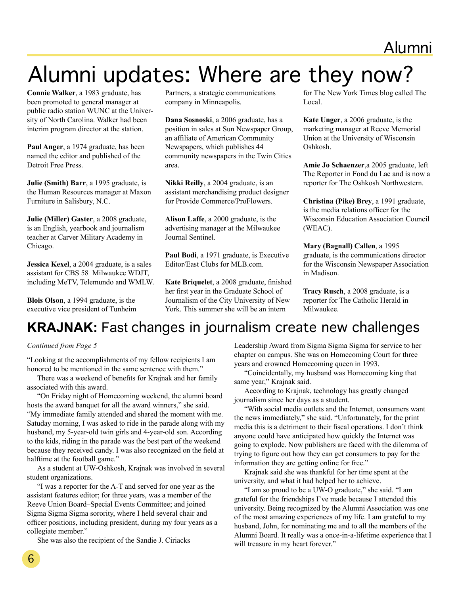# Alumni updates: Where are they now?

**Connie Walker**, a 1983 graduate, has been promoted to general manager at public radio station WUNC at the University of North Carolina. Walker had been interim program director at the station.

**Paul Anger**, a 1974 graduate, has been named the editor and published of the Detroit Free Press.

**Julie (Smith) Barr**, a 1995 graduate, is the Human Resources manager at Maxon Furniture in Salisbury, N.C.

**Julie (Miller) Gaster**, a 2008 graduate, is an English, yearbook and journalism teacher at Carver Military Academy in Chicago.

**Jessica Kexel**, a 2004 graduate, is a sales assistant for CBS 58 Milwaukee WDJT, including MeTV, Telemundo and WMLW.

**Blois Olson**, a 1994 graduate, is the executive vice president of Tunheim Partners, a strategic communications company in Minneapolis.

**Dana Sosnoski**, a 2006 graduate, has a position in sales at Sun Newspaper Group, an affiliate of American Community Newspapers, which publishes 44 community newspapers in the Twin Cities area.

**Nikki Reilly**, a 2004 graduate, is an assistant merchandising product designer for Provide Commerce/ProFlowers.

**Alison Laffe**, a 2000 graduate, is the advertising manager at the Milwaukee Journal Sentinel.

**Paul Bodi**, a 1971 graduate, is Executive Editor/East Clubs for MLB.com.

**Kate Briquelet**, a 2008 graduate, finished her first year in the Graduate School of Journalism of the City University of New York. This summer she will be an intern

for The New York Times blog called The Local.

**Kate Unger**, a 2006 graduate, is the marketing manager at Reeve Memorial Union at the University of Wisconsin Oshkosh.

**Amie Jo Schaenzer**,a 2005 graduate, left The Reporter in Fond du Lac and is now a reporter for The Oshkosh Northwestern.

**Christina (Pike) Brey**, a 1991 graduate, is the media relations officer for the Wisconsin Education Association Council (WEAC).

**Mary (Bagnall) Callen**, a 1995 graduate, is the communications director for the Wisconsin Newspaper Association in Madison.

**Tracy Rusch**, a 2008 graduate, is a reporter for The Catholic Herald in Milwaukee.

## **KRAJNAK:** Fast changes in journalism create new challenges

#### *Continued from Page 5*

"Looking at the accomplishments of my fellow recipients I am honored to be mentioned in the same sentence with them."

There was a weekend of benefits for Krajnak and her family associated with this award.

"On Friday night of Homecoming weekend, the alumni board hosts the award banquet for all the award winners," she said. "My immediate family attended and shared the moment with me. Satuday morning, I was asked to ride in the parade along with my husband, my 5-year-old twin girls and 4-year-old son. According to the kids, riding in the parade was the best part of the weekend because they received candy. I was also recognized on the field at halftime at the football game."

As a student at UW-Oshkosh, Krajnak was involved in several student organizations.

"I was a reporter for the A-T and served for one year as the assistant features editor; for three years, was a member of the Reeve Union Board–Special Events Committee; and joined Sigma Sigma Sigma sorority, where I held several chair and officer positions, including president, during my four years as a collegiate member."

She was also the recipient of the Sandie J. Ciriacks

Leadership Award from Sigma Sigma Sigma for service to her chapter on campus. She was on Homecoming Court for three years and crowned Homecoming queen in 1993.

"Coincidentally, my husband was Homecoming king that same year," Krajnak said.

According to Krajnak, technology has greatly changed journalism since her days as a student.

"With social media outlets and the Internet, consumers want the news immediately," she said. "Unfortunately, for the print media this is a detriment to their fiscal operations. I don't think anyone could have anticipated how quickly the Internet was going to explode. Now publishers are faced with the dilemma of trying to figure out how they can get consumers to pay for the information they are getting online for free."

Krajnak said she was thankful for her time spent at the university, and what it had helped her to achieve.

"I am so proud to be a UW-O graduate," she said. "I am grateful for the friendships I've made because I attended this university. Being recognized by the Alumni Association was one of the most amazing experiences of my life. I am grateful to my husband, John, for nominating me and to all the members of the Alumni Board. It really was a once-in-a-lifetime experience that I will treasure in my heart forever."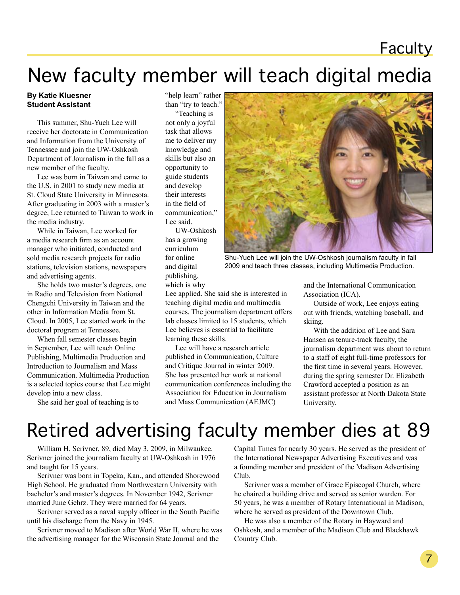## **Faculty**

# New faculty member will teach digital media

#### **By Katie Kluesner Student Assistant**

This summer, Shu-Yueh Lee will receive her doctorate in Communication and Information from the University of Tennessee and join the UW-Oshkosh Department of Journalism in the fall as a new member of the faculty.

Lee was born in Taiwan and came to the U.S. in 2001 to study new media at St. Cloud State University in Minnesota. After graduating in 2003 with a master's degree, Lee returned to Taiwan to work in the media industry.

While in Taiwan, Lee worked for a media research firm as an account manager who initiated, conducted and sold media research projects for radio stations, television stations, newspapers and advertising agents.

She holds two master's degrees, one in Radio and Television from National Chengchi University in Taiwan and the other in Information Media from St. Cloud. In 2005, Lee started work in the doctoral program at Tennessee.

When fall semester classes begin in September, Lee will teach Online Publishing, Multimedia Production and Introduction to Journalism and Mass Communication. Multimedia Production is a selected topics course that Lee might develop into a new class.

She said her goal of teaching is to

"help learn" rather than "try to teach."

"Teaching is not only a joyful task that allows me to deliver my knowledge and skills but also an opportunity to guide students and develop their interests in the field of communication," Lee said.

UW-Oshkosh has a growing curriculum for online and digital publishing, which is why

learning these skills.



Shu-Yueh Lee will join the UW-Oshkosh journalism faculty in fall 2009 and teach three classes, including Multimedia Production.

and the International Communication Association (ICA).

Outside of work, Lee enjoys eating out with friends, watching baseball, and skiing.

With the addition of Lee and Sara Hansen as tenure-track faculty, the journalism department was about to return to a staff of eight full-time professors for the first time in several years. However, during the spring semester Dr. Elizabeth Crawford accepted a position as an assistant professor at North Dakota State University.

## Retired advertising faculty member dies at 89

Lee applied. She said she is interested in teaching digital media and multimedia courses. The journalism department offers lab classes limited to 15 students, which Lee believes is essential to facilitate

Lee will have a research article published in Communication, Culture and Critique Journal in winter 2009. She has presented her work at national communication conferences including the Association for Education in Journalism and Mass Communication (AEJMC)

William H. Scrivner, 89, died May 3, 2009, in Milwaukee. Scrivner joined the journalism faculty at UW-Oshkosh in 1976 and taught for 15 years.

Scrivner was born in Topeka, Kan., and attended Shorewood High School. He graduated from Northwestern University with bachelor's and master's degrees. In November 1942, Scrivner married June Gehrz. They were married for 64 years.

Scrivner served as a naval supply officer in the South Pacific until his discharge from the Navy in 1945.

Scrivner moved to Madison after World War II, where he was the advertising manager for the Wisconsin State Journal and the

Capital Times for nearly 30 years. He served as the president of the International Newspaper Advertising Executives and was a founding member and president of the Madison Advertising Club.

Scrivner was a member of Grace Episcopal Church, where he chaired a building drive and served as senior warden. For 50 years, he was a member of Rotary International in Madison, where he served as president of the Downtown Club.

He was also a member of the Rotary in Hayward and Oshkosh, and a member of the Madison Club and Blackhawk Country Club.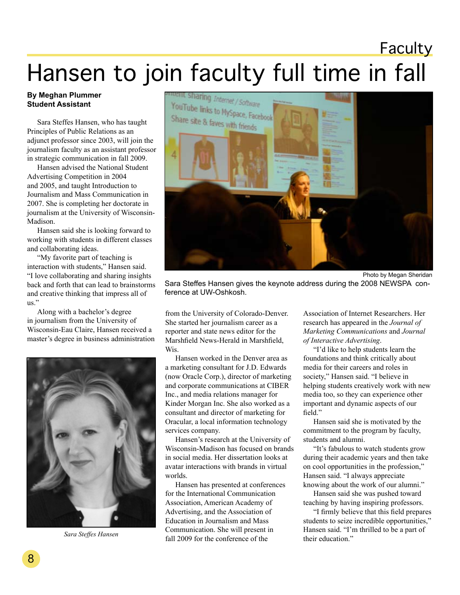## **Faculty**

# Hansen to join faculty full time in fall

#### **By Meghan Plummer Student Assistant**

Sara Steffes Hansen, who has taught Principles of Public Relations as an adjunct professor since 2003, will join the journalism faculty as an assistant professor in strategic communication in fall 2009.

Hansen advised the National Student Advertising Competition in 2004 and 2005, and taught Introduction to Journalism and Mass Communication in 2007. She is completing her doctorate in journalism at the University of Wisconsin-Madison.

Hansen said she is looking forward to working with students in different classes and collaborating ideas.

"My favorite part of teaching is interaction with students," Hansen said. "I love collaborating and sharing insights back and forth that can lead to brainstorms and creative thinking that impress all of us."

Along with a bachelor's degree in journalism from the University of Wisconsin-Eau Claire, Hansen received a master's degree in business administration



*Sara Steffes Hansen*



Sara Steffes Hansen gives the keynote address during the 2008 NEWSPA conference at UW-Oshkosh.

from the University of Colorado-Denver. She started her journalism career as a reporter and state news editor for the Marshfield News-Herald in Marshfield, Wis.

Hansen worked in the Denver area as a marketing consultant for J.D. Edwards (now Oracle Corp.), director of marketing and corporate communications at CIBER Inc., and media relations manager for Kinder Morgan Inc. She also worked as a consultant and director of marketing for Oracular, a local information technology services company.

Hansen's research at the University of Wisconsin-Madison has focused on brands in social media. Her dissertation looks at avatar interactions with brands in virtual worlds.

Hansen has presented at conferences for the International Communication Association, American Academy of Advertising, and the Association of Education in Journalism and Mass Communication. She will present in fall 2009 for the conference of the

Association of Internet Researchers. Her research has appeared in the *Journal of Marketing Communications* and *Journal of Interactive Advertising*.

"I'd like to help students learn the foundations and think critically about media for their careers and roles in society," Hansen said. "I believe in helping students creatively work with new media too, so they can experience other important and dynamic aspects of our field."

Hansen said she is motivated by the commitment to the program by faculty, students and alumni.

"It's fabulous to watch students grow during their academic years and then take on cool opportunities in the profession," Hansen said. "I always appreciate knowing about the work of our alumni."

Hansen said she was pushed toward teaching by having inspiring professors.

"I firmly believe that this field prepares students to seize incredible opportunities," Hansen said. "I'm thrilled to be a part of their education."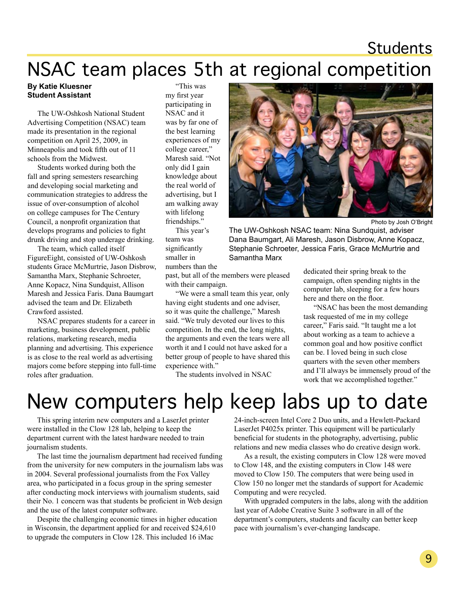## Students

# NSAC team places 5th at regional competition

#### **By Katie Kluesner Student Assistant**

The UW-Oshkosh National Student Advertising Competition (NSAC) team made its presentation in the regional competition on April 25, 2009, in Minneapolis and took fifth out of 11 schools from the Midwest.

Students worked during both the fall and spring semesters researching and developing social marketing and communication strategies to address the issue of over-consumption of alcohol on college campuses for The Century Council, a nonprofit organization that develops programs and policies to fight drunk driving and stop underage drinking.

The team, which called itself FigureEight, consisted of UW-Oshkosh students Grace McMurtrie, Jason Disbrow, Samantha Marx, Stephanie Schroeter, Anne Kopacz, Nina Sundquist, Allison Maresh and Jessica Faris. Dana Baumgart advised the team and Dr. Elizabeth Crawford assisted.

NSAC prepares students for a career in marketing, business development, public relations, marketing research, media planning and advertising. This experience is as close to the real world as advertising majors come before stepping into full-time roles after graduation.

"This was my first year participating in NSAC and it was by far one of the best learning experiences of my college career," Maresh said. "Not only did I gain knowledge about the real world of advertising, but I am walking away with lifelong friendships."

This year's team was significantly smaller in numbers than the

past, but all of the members were pleased with their campaign.

"We were a small team this year, only having eight students and one adviser, so it was quite the challenge," Maresh said. "We truly devoted our lives to this competition. In the end, the long nights, the arguments and even the tears were all worth it and I could not have asked for a better group of people to have shared this experience with."

The students involved in NSAC



Photo by Josh O'Bright

The UW-Oshkosh NSAC team: Nina Sundquist, adviser Dana Baumgart, Ali Maresh, Jason Disbrow, Anne Kopacz, Stephanie Schroeter, Jessica Faris, Grace McMurtrie and Samantha Marx

> dedicated their spring break to the campaign, often spending nights in the computer lab, sleeping for a few hours here and there on the floor.

"NSAC has been the most demanding task requested of me in my college career," Faris said. "It taught me a lot about working as a team to achieve a common goal and how positive conflict can be. I loved being in such close quarters with the seven other members and I'll always be immensely proud of the work that we accomplished together."

# New computers help keep labs up to date

This spring interim new computers and a LaserJet printer were installed in the Clow 128 lab, helping to keep the department current with the latest hardware needed to train journalism students.

The last time the journalism department had received funding from the university for new computers in the journalism labs was in 2004. Several professional journalists from the Fox Valley area, who participated in a focus group in the spring semester after conducting mock interviews with journalism students, said their No. 1 concern was that students be proficient in Web design and the use of the latest computer software.

Despite the challenging economic times in higher education in Wisconsin, the department applied for and received \$24,610 to upgrade the computers in Clow 128. This included 16 iMac

24-inch-screen Intel Core 2 Duo units, and a Hewlett-Packard LaserJet P4025x printer. This equipment will be particularly beneficial for students in the photography, advertising, public relations and new media classes who do creative design work.

As a result, the existing computers in Clow 128 were moved to Clow 148, and the existing computers in Clow 148 were moved to Clow 150. The computers that were being used in Clow 150 no longer met the standards of support for Academic Computing and were recycled.

With upgraded computers in the labs, along with the addition last year of Adobe Creative Suite 3 software in all of the department's computers, students and faculty can better keep pace with journalism's ever-changing landscape.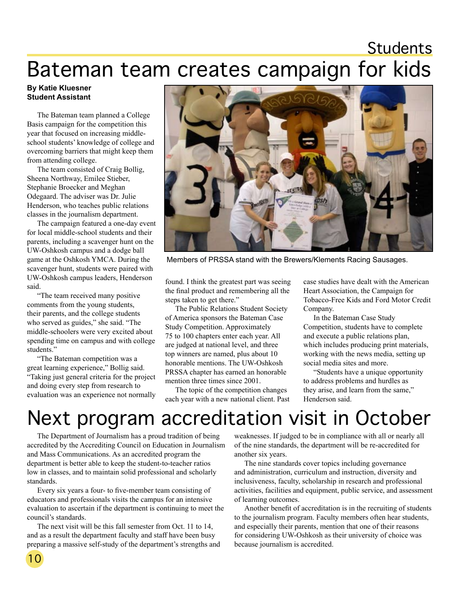# Students

# Bateman team creates campaign for kids

#### **By Katie Kluesner Student Assistant**

The Bateman team planned a College Basis campaign for the competition this year that focused on increasing middleschool students' knowledge of college and overcoming barriers that might keep them from attending college.

The team consisted of Craig Bollig, Sheena Northway, Emilee Stieber, Stephanie Broecker and Meghan Odegaard. The adviser was Dr. Julie Henderson, who teaches public relations classes in the journalism department.

The campaign featured a one-day event for local middle-school students and their parents, including a scavenger hunt on the UW-Oshkosh campus and a dodge ball game at the Oshkosh YMCA. During the scavenger hunt, students were paired with UW-Oshkosh campus leaders, Henderson said.

"The team received many positive comments from the young students, their parents, and the college students who served as guides," she said. "The middle-schoolers were very excited about spending time on campus and with college students."

"The Bateman competition was a great learning experience," Bollig said. "Taking just general criteria for the project and doing every step from research to evaluation was an experience not normally



Members of PRSSA stand with the Brewers/Klements Racing Sausages.

found. I think the greatest part was seeing the final product and remembering all the steps taken to get there."

The Public Relations Student Society of America sponsors the Bateman Case Study Competition. Approximately 75 to 100 chapters enter each year. All are judged at national level, and three top winners are named, plus about 10 honorable mentions. The UW-Oshkosh PRSSA chapter has earned an honorable mention three times since 2001.

The topic of the competition changes each year with a new national client. Past case studies have dealt with the American Heart Association, the Campaign for Tobacco-Free Kids and Ford Motor Credit Company.

In the Bateman Case Study Competition, students have to complete and execute a public relations plan, which includes producing print materials, working with the news media, setting up social media sites and more.

"Students have a unique opportunity to address problems and hurdles as they arise, and learn from the same," Henderson said.

# Next program accreditation visit in October

The Department of Journalism has a proud tradition of being accredited by the Accrediting Council on Education in Journalism and Mass Communications. As an accredited program the department is better able to keep the student-to-teacher ratios low in classes, and to maintain solid professional and scholarly standards.

Every six years a four- to five-member team consisting of educators and professionals visits the campus for an intensive evaluation to ascertain if the department is continuing to meet the council's standards.

The next visit will be this fall semester from Oct. 11 to 14, and as a result the department faculty and staff have been busy preparing a massive self-study of the department's strengths and

weaknesses. If judged to be in compliance with all or nearly all of the nine standards, the department will be re-accredited for another six years.

The nine standards cover topics including governance and administration, curriculum and instruction, diversity and inclusiveness, faculty, scholarship in research and professional activities, facilities and equipment, public service, and assessment of learning outcomes.

Another benefit of accreditation is in the recruiting of students to the journalism program. Faculty members often hear students, and especially their parents, mention that one of their reasons for considering UW-Oshkosh as their university of choice was because journalism is accredited.

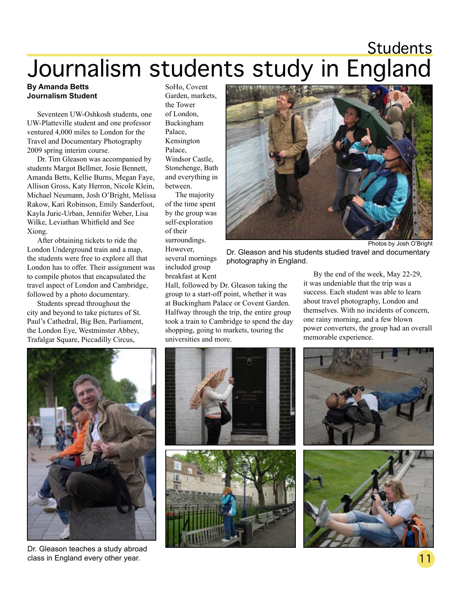# Students Journalism students study in England

#### **By Amanda Betts Journalism Student**

Seventeen UW-Oshkosh students, one UW-Platteville student and one professor ventured 4,000 miles to London for the Travel and Documentary Photography 2009 spring interim course.

Dr. Tim Gleason was accompanied by students Margot Bellmer, Josie Bennett, Amanda Betts, Kellie Burns, Megan Faye, Allison Gross, Katy Herron, Nicole Klein, Michael Neumann, Josh O'Bright, Melissa Rakow, Kari Robinson, Emily Sanderfoot, Kayla Juric-Urban, Jennifer Weber, Lisa Wilke, Leviathan Whitfield and See Xiong.

After obtaining tickets to ride the London Underground train and a map, the students were free to explore all that London has to offer. Their assignment was to compile photos that encapsulated the travel aspect of London and Cambridge, followed by a photo documentary.

Students spread throughout the city and beyond to take pictures of St. Paul's Cathedral, Big Ben, Parliament, the London Eye, Westminster Abbey, Trafalgar Square, Piccadilly Circus,

SoHo, Covent Garden, markets, the Tower of London, Buckingham Palace, Kensington Palace, Windsor Castle, Stonehenge, Bath and everything in between.

The majority of the time spent by the group was self-exploration of their surroundings. However, several mornings included group



Photos by Josh O'Bright

Dr. Gleason and his students studied travel and documentary photography in England.

breakfast at Kent Hall, followed by Dr. Gleason taking the group to a start-off point, whether it was at Buckingham Palace or Covent Garden. Halfway through the trip, the entire group took a train to Cambridge to spend the day shopping, going to markets, touring the universities and more.

By the end of the week, May 22-29, it was undeniable that the trip was a success. Each student was able to learn about travel photography, London and themselves. With no incidents of concern, one rainy morning, and a few blown power converters, the group had an overall memorable experience.



Dr. Gleason teaches a study abroad class in England every other year.